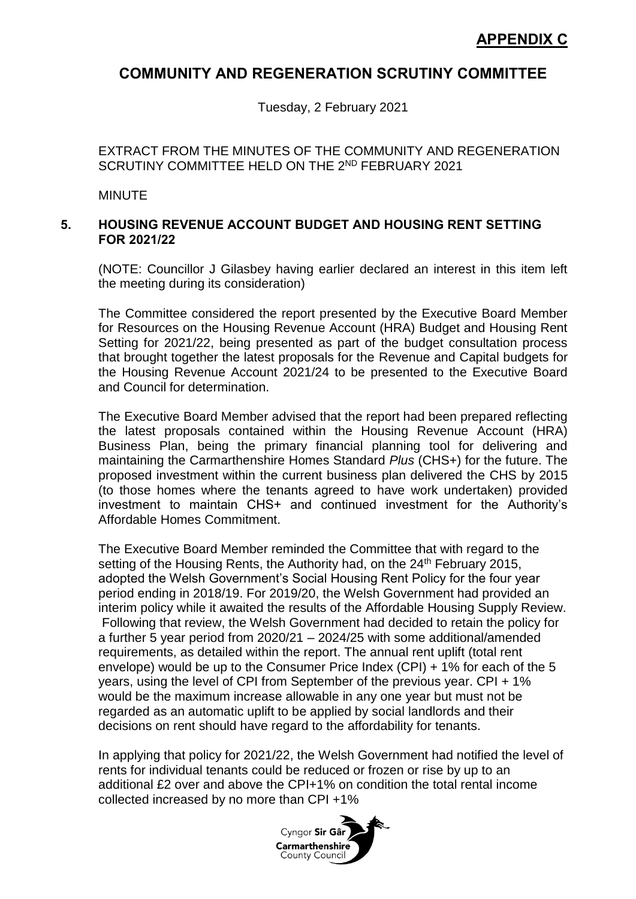## **COMMUNITY AND REGENERATION SCRUTINY COMMITTEE**

Tuesday, 2 February 2021

EXTRACT FROM THE MINUTES OF THE COMMUNITY AND REGENERATION SCRUTINY COMMITTEE HELD ON THE 2ND FEBRUARY 2021

MINUTE

## **5. HOUSING REVENUE ACCOUNT BUDGET AND HOUSING RENT SETTING FOR 2021/22**

(NOTE: Councillor J Gilasbey having earlier declared an interest in this item left the meeting during its consideration)

The Committee considered the report presented by the Executive Board Member for Resources on the Housing Revenue Account (HRA) Budget and Housing Rent Setting for 2021/22, being presented as part of the budget consultation process that brought together the latest proposals for the Revenue and Capital budgets for the Housing Revenue Account 2021/24 to be presented to the Executive Board and Council for determination.

The Executive Board Member advised that the report had been prepared reflecting the latest proposals contained within the Housing Revenue Account (HRA) Business Plan, being the primary financial planning tool for delivering and maintaining the Carmarthenshire Homes Standard *Plus* (CHS+) for the future. The proposed investment within the current business plan delivered the CHS by 2015 (to those homes where the tenants agreed to have work undertaken) provided investment to maintain CHS+ and continued investment for the Authority's Affordable Homes Commitment.

The Executive Board Member reminded the Committee that with regard to the setting of the Housing Rents, the Authority had, on the 24<sup>th</sup> February 2015. adopted the Welsh Government's Social Housing Rent Policy for the four year period ending in 2018/19. For 2019/20, the Welsh Government had provided an interim policy while it awaited the results of the Affordable Housing Supply Review. Following that review, the Welsh Government had decided to retain the policy for a further 5 year period from 2020/21 – 2024/25 with some additional/amended requirements, as detailed within the report. The annual rent uplift (total rent envelope) would be up to the Consumer Price Index (CPI) + 1% for each of the 5 years, using the level of CPI from September of the previous year. CPI + 1% would be the maximum increase allowable in any one year but must not be regarded as an automatic uplift to be applied by social landlords and their decisions on rent should have regard to the affordability for tenants.

In applying that policy for 2021/22, the Welsh Government had notified the level of rents for individual tenants could be reduced or frozen or rise by up to an additional £2 over and above the CPI+1% on condition the total rental income collected increased by no more than CPI +1%

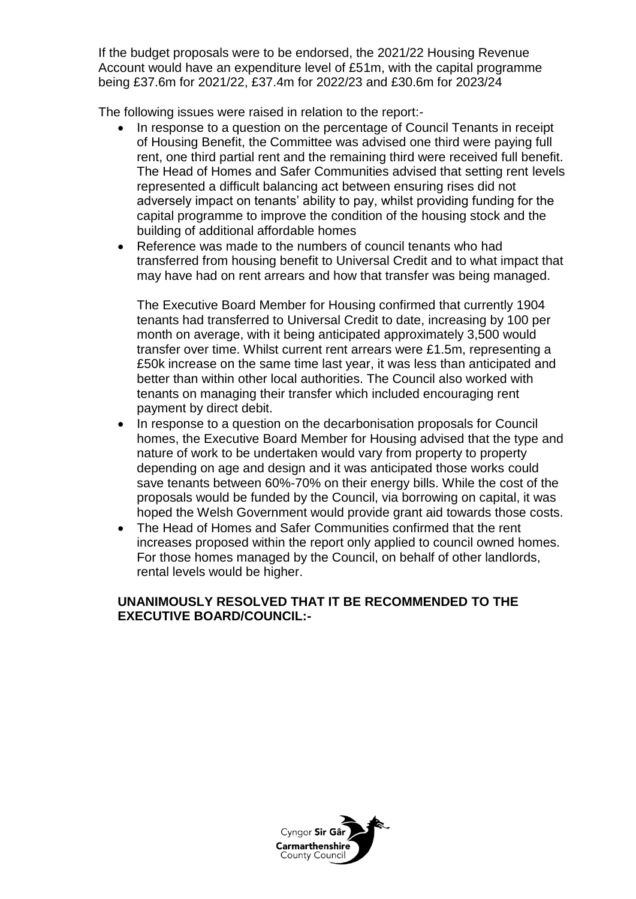If the budget proposals were to be endorsed, the 2021/22 Housing Revenue Account would have an expenditure level of £51m, with the capital programme being £37.6m for 2021/22, £37.4m for 2022/23 and £30.6m for 2023/24

The following issues were raised in relation to the report:-

- In response to a question on the percentage of Council Tenants in receipt of Housing Benefit, the Committee was advised one third were paying full rent, one third partial rent and the remaining third were received full benefit. The Head of Homes and Safer Communities advised that setting rent levels represented a difficult balancing act between ensuring rises did not adversely impact on tenants' ability to pay, whilst providing funding for the capital programme to improve the condition of the housing stock and the building of additional affordable homes
- Reference was made to the numbers of council tenants who had transferred from housing benefit to Universal Credit and to what impact that may have had on rent arrears and how that transfer was being managed.

The Executive Board Member for Housing confirmed that currently 1904 tenants had transferred to Universal Credit to date, increasing by 100 per month on average, with it being anticipated approximately 3,500 would transfer over time. Whilst current rent arrears were £1.5m, representing a £50k increase on the same time last year, it was less than anticipated and better than within other local authorities. The Council also worked with tenants on managing their transfer which included encouraging rent payment by direct debit.

- In response to a question on the decarbonisation proposals for Council homes, the Executive Board Member for Housing advised that the type and nature of work to be undertaken would vary from property to property depending on age and design and it was anticipated those works could save tenants between 60%-70% on their energy bills. While the cost of the proposals would be funded by the Council, via borrowing on capital, it was hoped the Welsh Government would provide grant aid towards those costs.
- The Head of Homes and Safer Communities confirmed that the rent increases proposed within the report only applied to council owned homes. For those homes managed by the Council, on behalf of other landlords, rental levels would be higher.

## **UNANIMOUSLY RESOLVED THAT IT BE RECOMMENDED TO THE EXECUTIVE BOARD/COUNCIL:-**